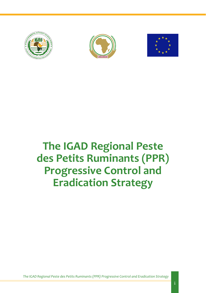





# **The IGAD Regional Peste des Petits Ruminants (PPR) Progressive Control and Eradication Strategy**

*The IGAD Regional Peste des Petits Ruminants (PPR) Progressive Control and Eradication Strategy*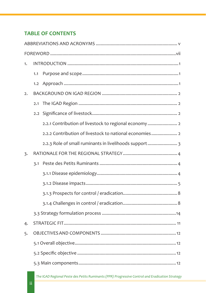# **TABLE OF CONTENTS**

| 1. |     |                                                         |  |  |
|----|-----|---------------------------------------------------------|--|--|
|    | 1.1 |                                                         |  |  |
|    |     |                                                         |  |  |
| 2. |     |                                                         |  |  |
|    | 2.1 |                                                         |  |  |
|    |     |                                                         |  |  |
|    |     | 2.2.1 Contribution of livestock to regional economy  2  |  |  |
|    |     | 2.2.2 Contribution of livestock to national economies 2 |  |  |
|    |     | 2.2.3 Role of small ruminants in livelihoods support    |  |  |
| 3. |     |                                                         |  |  |
|    | 3.1 |                                                         |  |  |
|    |     |                                                         |  |  |
|    |     |                                                         |  |  |
|    |     |                                                         |  |  |
|    |     |                                                         |  |  |
|    |     |                                                         |  |  |
| 4. |     |                                                         |  |  |
| 5. |     |                                                         |  |  |
|    |     |                                                         |  |  |
|    |     |                                                         |  |  |
|    |     |                                                         |  |  |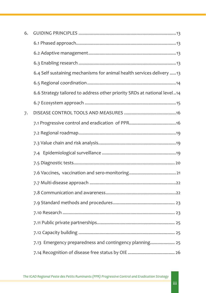| 6. |                                                                          |
|----|--------------------------------------------------------------------------|
|    |                                                                          |
|    |                                                                          |
|    |                                                                          |
|    | 6.4 Self sustaining mechanisms for animal health services delivery 13    |
|    |                                                                          |
|    | 6.6 Strategy tailored to address other priority SRDs at national level14 |
|    |                                                                          |
| 7. |                                                                          |
|    |                                                                          |
|    |                                                                          |
|    |                                                                          |
|    |                                                                          |
|    |                                                                          |
|    |                                                                          |
|    |                                                                          |
|    |                                                                          |
|    |                                                                          |
|    |                                                                          |
|    |                                                                          |
|    |                                                                          |
|    | 7.13 Emergency preparedness and contingency planning 25                  |
|    |                                                                          |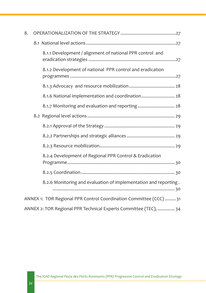| 8. |                                                                    |
|----|--------------------------------------------------------------------|
|    |                                                                    |
|    | 8.1.1 Development / alignment of national PPR control and          |
|    | 8.1.2 Development of national PPR control and eradication          |
|    |                                                                    |
|    | 8.1.6 National implementation and coordination 28                  |
|    | 8.1.7 Monitoring and evaluation and reporting  28                  |
|    |                                                                    |
|    |                                                                    |
|    |                                                                    |
|    |                                                                    |
|    | 8.2.4 Development of Regional PPR Control & Eradication            |
|    |                                                                    |
|    | 8.2.6 Monitoring and evaluation of implementation and reporting.   |
|    | ANNEX 1: TOR Regional PPR Control Coordination Committee (CCC)  31 |
|    | ANNEX 2: TOR Regional PPR Technical Experts Committee (TEC),  34   |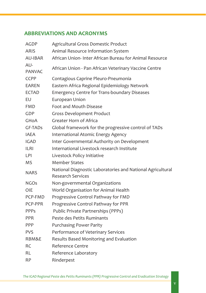# **ABBREVIATIONS AND ACRONYMS**

| <b>AGDP</b>          | Agricultural Gross Domestic Product                                                    |
|----------------------|----------------------------------------------------------------------------------------|
| <b>ARIS</b>          | Animal Resource Information System                                                     |
| <b>AU-IBAR</b>       | African Union- Inter African Bureau for Animal Resource                                |
| AU-<br><b>PANVAC</b> | African Union - Pan African Veterinary Vaccine Centre                                  |
| <b>CCPP</b>          | Contagious Caprine Pleuro-Pneumonia                                                    |
| <b>EAREN</b>         | Eastern Africa Regional Epidemiology Network                                           |
| <b>ECTAD</b>         | <b>Emergency Centre for Trans-boundary Diseases</b>                                    |
| EU                   | European Union                                                                         |
| <b>FMD</b>           | Foot and Mouth Disease                                                                 |
| <b>GDP</b>           | <b>Gross Development Product</b>                                                       |
| <b>GHOA</b>          | Greater Horn of Africa                                                                 |
| GF-TADs              | Global framework for the progressive control of TADs                                   |
| <b>IAEA</b>          | International Atomic Energy Agency                                                     |
| <b>IGAD</b>          | Inter Governmental Authority on Development                                            |
| <b>ILRI</b>          | International Livestock research Institute                                             |
| <b>LPI</b>           | Livestock Policy Initiative                                                            |
| <b>MS</b>            | <b>Member States</b>                                                                   |
| <b>NARS</b>          | National Diagnostic Laboratories and National Agricultural<br><b>Research Services</b> |
| <b>NGOs</b>          | Non-governmental Organizations                                                         |
| <b>OIE</b>           | World Organisation for Animal Health                                                   |
| PCP-FMD              | Progressive Control Pathway for FMD                                                    |
| PCP-PPR              | Progressive Control Pathway for PPR                                                    |
| <b>PPPs</b>          | Public Private Partnerships (PPPs)                                                     |
| <b>PPR</b>           | Peste des Petits Ruminants                                                             |
| PPP                  | <b>Purchasing Power Parity</b>                                                         |
| <b>PVS</b>           | Performance of Veterinary Services                                                     |
| RBM&E                | Results Based Monitoring and Evaluation                                                |
| <b>RC</b>            | <b>Reference Centre</b>                                                                |
| <b>RL</b>            | Reference Laboratory                                                                   |
| <b>RP</b>            | Rinderpest                                                                             |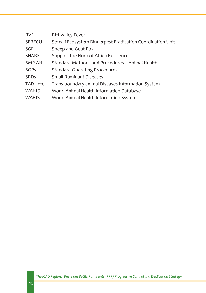| <b>RVF</b>   | <b>Rift Valley Fever</b>                                  |
|--------------|-----------------------------------------------------------|
| SERECU       | Somali Ecosystem Rinderpest Eradication Coordination Unit |
| <b>SGP</b>   | Sheep and Goat Pox                                        |
| <b>SHARE</b> | Support the Horn of Africa Resilience                     |
| SMP-AH       | Standard Methods and Procedures - Animal Health           |
| SOPs         | <b>Standard Operating Procedures</b>                      |
| <b>SRDs</b>  | <b>Small Ruminant Diseases</b>                            |
| TAD-Info     | Trans-boundary animal Diseases Information System         |
| <b>WAHID</b> | World Animal Health Information Database                  |
| <b>WAHIS</b> | World Animal Health Information System                    |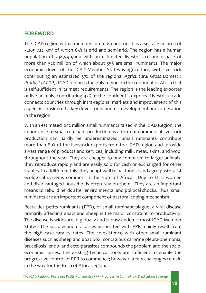# **FOREWORD**

The IGAD region with a membership of 8 countries has a surface an area of 5,209,722 km² of which 65% is arid and semi-arid. The region has a human population of 238,990,000 with an estimated livestock resource base of more than 520 million of which about 35% are small ruminants. The major economic driver of the IGAD Member States is agriculture, with livestock contributing an estimated 57% of the regional *Agricultural Gross Domestic Product (AGDP)*. IGAD region is the only region on the continent of Africa that is self-sufficient in its meat requirements. The region is the leading exporter of live animals, contributing 42% of the continent's exports. Livestock trade connects countries through intra-regional markets and improvement of this aspect is considered a key driver for economic development and integration in the region.

With an estimated 242 million small ruminants raised in the IGAD Region, the importance of small ruminant production as a form of commercial livestock production can hardly be underestimated. Small ruminants contribute more than 80% of the livestock exports from the IGAD region and provide a vast range of products and services, including milk, meat, skins, and wool throughout the year. They are cheaper to buy compared to larger animals, they reproduce rapidly and are easily sold for cash or exchanged for other staples. In addition to this, they adapt well to pastoralist and agro-pastoralist ecological systems common in the Horn of Africa. Due to this, women and disadvantaged households often rely on them. They are an important means to rebuild herds after environmental and political shocks. Thus, small ruminants are an important component of pastoral coping mechanism.

Peste des petits ruminants (PPR), or small ruminant plague, a viral disease primarily affecting goats and sheep is the major constraint to productivity. The disease is widespread globally and is now endemic most IGAD Member States. The socio-economic losses associated with PPR mainly result from the high case fatality rates. The co-existence with other small ruminant diseases such as sheep and goat pox, contagious carprine pleura-pnemonia, brucellosis, endo- and ecto-parasites compounds the problem and the socioeconomic losses. The existing technical tools are sufficient to enable the progressive control of PPR to commence; however, a few challenges remain in the way for the Horn of Africa region.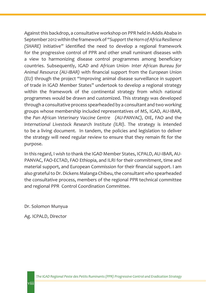Against this backdrop, a consultative workshop on PPR held in Addis Ababa in September 2012 within the framework of "*Support the Horn of Africa Resilience (SHARE)* initiative" identified the need to develop a regional framework for the progressive control of PPR and other small ruminant diseases with a view to harmonizing disease control programmes among beneficiary countries. Subsequently, IGAD and *African Union- Inter African Bureau for Animal Resource (AU-IBAR)* with financial support from the *European Union (EU)* through the project "Improving animal disease surveillance in support of trade in IGAD Member States" undertook to develop a regional strategy within the framework of the continental strategy from which national programmes would be drawn and customized. This strategy was developed through a consultative process spearheaded by a consultant and two working groups whose membership included representatives of MS, IGAD, AU-IBAR, the *Pan African Veterinary Vaccine Centre (AU-PANVAC),* OIE, FAO and the *International Livestock Research Institute (ILRI)*. The strategy is intended to be a living document. In tandem, the policies and legislation to deliver the strategy will need regular review to ensure that they remain fit for the purpose.

In this regard, I wish to thank the IGAD Member States, ICPALD, AU-IBAR, AU-PANVAC, FAO-ECTAD, FAO Ethiopia, and ILRI for their commitment, time and material support, and European Commission for their financial support. I am also grateful to Dr. Dickens Malanga Chibeu, the consultant who spearheaded the consultative process, members of the regional PPR technical committee and regional PPR Control Coordination Committee.

Dr. Solomon Munyua

Ag. ICPALD, Director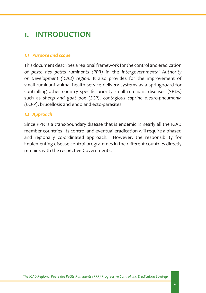# **1. INTRODUCTION**

#### *1.1 Purpose and scope*

This document describes a regional framework for the control and eradication of *peste des petits ruminants (PPR)* in the *Intergovernmental Authority on Development (IGAD) region*. It also provides for the improvement of small ruminant animal health service delivery systems as a springboard for controlling other country specific priority small ruminant diseases (SRDs) such as *sheep and goat pox (SGP), contagious caprine pleuro-pneumonia (CCPP)*, brucellosis and endo and ecto-parasites.

#### *1.2 Approach*

Since PPR is a trans-boundary disease that is endemic in nearly all the IGAD member countries, its control and eventual eradication will require a phased and regionally co-ordinated approach. However, the responsibility for implementing disease control programmes in the different countries directly remains with the respective Governments.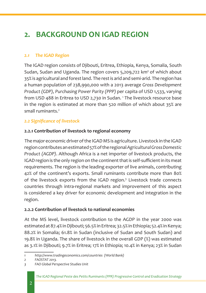# **2. BACKGROUND ON IGAD REGION**

#### *2.1 The IGAD Region*

The IGAD region consists of Djibouti, Eritrea, Ethiopia, Kenya, Somalia, South Sudan, Sudan and Uganda. The region covers 5,209,722 km² of which about 35% is agricultural and forest land. The rest is arid and semi-arid. The region has a human population of 238,990,000 with a 2013 average *Gross Development Product (GDP), Purchasing Power Parity (PPP)* per capita of USD 1,533, varying from USD 488 in Eritrea to USD 2,730 in Sudan. <sup>1</sup> The livestock resource base in the region is estimated at more than 520 million of which about 35% are small ruminants.<sup>2</sup>

# *2.2 Significance of livestock*

#### **2.2.1 Contribution of livestock to regional economy**

The major economic driver of the IGAD MS is agriculture. Livestock in the IGAD region contributes an estimated 57% of the regional *Agricultural Gross Domestic Product (AGDP)*. Although Africa is a net importer of livestock products, the IGAD region is the only region on the continent that is self-sufficient in its meat requirements. The region is the leading exporter of live animals, contributing 42% of the continent's exports. Small ruminants contribute more than 80% of the livestock exports from the IGAD region.<sup>3</sup> Livestock trade connects countries through intra-regional markets and improvement of this aspect is considered a key driver for economic development and integration in the region.

#### **2.2.2 Contribution of livestock to national economies**

At the MS level, livestock contribution to the AGDP in the year 2000 was estimated at 87.4% in Djibouti; 56.5% in Eritrea; 32.5% in Ethiopia; 52.4% in Kenya; 88.2% in Somalia; 61.8% in Sudan (inclusive of Sudan and South Sudan) and 19.8% in Uganda. The share of livestock in the overall GDP (%) was estimated as 3.1% in Djibouti; 9.7% in Eritrea; 17% in Ethiopia; 10.4% in Kenya; 23% in Sudan

*<sup>1</sup> http://www.tradingeconomics.com/countries (World Bank)*

*<sup>2</sup> FAOSTAT 2013.*

*<sup>3</sup> FAO Global Perspective Studies Unit*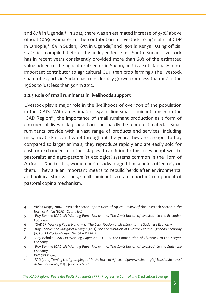and 8.1% in Uganda.<sup>4</sup> In 2012, there was an estimated increase of 350% above official 2009 estimates of the contribution of livestock to agricultural GDP in Ethiopia;<sup>5</sup> 18% in Sudan;<sup>6</sup> 87% in Uganda;<sup>7</sup> and 150% in Kenya.<sup>8</sup> Using official statistics compiled before the independence of South Sudan, livestock has in recent years consistently provided more than 60% of the estimated value added to the agricultural sector in Sudan, and is a substantially more important contributor to agricultural GDP than crop farming.<sup>9</sup> The livestock share of exports in Sudan has considerably grown from less than 10% in the 1960s to just less than 50% in 2012.

#### **2.2.3 Role of small ruminants in livelihoods support**

Livestock play a major role in the livelihoods of over 70% of the population in the IGAD. With an estimated 242 million small ruminants raised in the IGAD Region<sup>10</sup>, the importance of small ruminant production as a form of commercial livestock production can hardly be underestimated. Small ruminants provide with a vast range of products and services, including milk, meat, skins, and wool throughout the year. They are cheaper to buy compared to larger animals, they reproduce rapidly and are easily sold for cash or exchanged for other staples. In addition to this, they adapt well to pastoralist and agro-pastoralist ecological systems common in the Horn of Africa.<sup>11</sup> Due to this, women and disadvantaged households often rely on them. They are an important means to rebuild herds after environmental and political shocks. Thus, small ruminants are an important component of pastoral coping mechanism.

*<sup>4</sup> Vivien Knips, 2004. Livestock Sector Report Horn of Africa: Review of the Livestock Sector in the Horn of Africa (IGAD Countries)*

*<sup>5</sup> Roy Behnke IGAD LPI Working Paper No. 01 – 12, The Contribution of Livestock to the Ethiopian Economy*

*<sup>6</sup> IGAD LPI Working Paper No. 01 – 12, The Contribution of Livestock to the Sudanese Economy*

*<sup>7</sup> Roy Behnke and Margaret Nakirya (2012).The Contribution of Livestock to the Ugandan Economy (IGAD LPI Working Paper No. 02 – 12) 2012.*

*<sup>8</sup> Roy Behnke IGAD LPI Working Paper No. 01 – 12, The Contribution of Livestock to the Kenyan Economy*

*<sup>9</sup> Roy Behnke IGAD LPI Working Paper No. 01 – 12, The Contribution of Livestock to the Sudanese Economy*

*<sup>10</sup> FAO STAT 2013*

*<sup>11</sup> FAO (2012) Taming the "goat plague" in the Horn of Africa. http://www.fao.org/africa/sfe/sfe-news/ detail-news/en/c/161345/?no\_cache=1*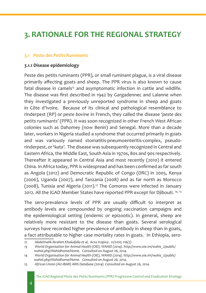# **3. RATIONALE FOR THE REGIONAL STRATEGY**

#### *3.1 Peste des Petits Ruminants*

#### **3.1.1 Disease epidemiology**

Peste des petits ruminants (PPR), or small ruminant plague, is a viral disease primarily affecting goats and sheep. The PPR virus is also known to cause fatal disease in camels<sup>12</sup> and asymptomatic infection in cattle and wildlife. The disease was first described in 1942 by Gargadennec and Lalanne when they investigated a previously unreported syndrome in sheep and goats in Côte d'Ivoire. Because of its clinical and pathological resemblance to rinderpest (RP) or *peste bovine* in French, they called the disease *'peste des petits ruminants'* (PPR). It was soon recognized in other French West African colonies such as Dahomey (now Benin) and Senegal. More than a decade later, workers in Nigeria studied a syndrome that occurred primarily in goats and was variously named stomatitis-pneumoenteritis-complex, pseudorinderpest, or '*kata'.* The disease was subsequently recognized in Central and Eastern Africa, the Middle East, South Asia in 1970s, 80s and 90s respectively. Thereafter it appeared in Central Asia and most recently (2010) it entered China. In Africa today, PPR is widespread and has been confirmed as far south as Angola (2012) and Democratic Republic of Congo (DRC) in 2005, Kenya (2006), Uganda (2007), and Tanzania (2008) and as far north as Morocco (2008), Tunisia and Algeria (2011).<sup>13</sup> The Comoros were infected in January 2012. All the IGAD Member States have reported PPR except for Djibouti. 14, <sup>15</sup>

The sero-prevalence levels of PPR are usually difficult to interpret as antibody levels are compounded by ongoing vaccination campaigns and the epidemiological setting (endemic or epizootic). In general, sheep are relatively more resistant to the disease than goats. Several serological surveys have recorded higher prevalence of antibody in sheep than in goats, a fact attributable to higher case mortality rates in goats. In Ethiopia, sero-

*<sup>12</sup> Abdelmalik Ibrahim Khakafalla et al, Acta tropica . 11/2010; 116(2)*

*<sup>13</sup> World Organisation for Animal Health (OIE), WAHID (2014). http://www.oie.int/wahis\_2/public/ wahid.php/Wahidhome/Home. Consulted on August 26, 2014.* 

*<sup>14</sup> World Organisation for Animal Health (OIE), WAHID (2014). http://www.oie.int/wahis\_2/public/ wahid.php/Wahidhome/Home. Consulted on August 26, 2014.* 

*<sup>15</sup> African Union (AU-IBAR) ARIS Database (2014). Consulted on August 26, 2014.*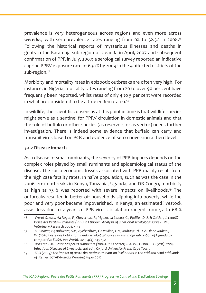prevalence is very heterogeneous across regions and even more across *weredas*, with sero-prevalence rates ranging from 0% to 52.5% in 2008.<sup>16</sup> Following the historical reports of mysterious illnesses and deaths in goats in the Karamoja sub-region of Uganda in April, 2007 and subsequent confirmation of PPR in July, 2007; a serological survey reported an indicative caprine PPRV exposure rate of 63.2% by 2009 in the 4 affected districts of the sub-region.<sup>17</sup>

Morbidity and mortality rates in epizootic outbreaks are often very high. For instance, in Nigeria, mortality rates ranging from 20 to over 90 per cent have frequently been reported, whilst rates of only 4 to 5 per cent were recorded in what are considered to be a true endemic area.<sup>18</sup>

In wildlife, the scientific consensus at this point in time is that wildlife species might serve as a sentinel for PPRV circulation in domestic animals and that the role of buffalo or other species (as reservoir, or as vector) needs further investigation. There is indeed some evidence that buffalo can carry and transmit virus based on PCR and evidence of sero-conversion at herd level.

#### **3.1.2 Disease impacts**

As a disease of small ruminants, the severity of PPR impacts depends on the complex roles played by small ruminants and epidemiological status of the disease. The socio-economic losses associated with PPR mainly result from the high case fatality rates. In naïve population, such as was the case in the 2006–2011 outbreaks in Kenya, Tanzania, Uganda, and DR Congo, morbidity as high as 73 % was reported with severe impacts on livelihoods.<sup>19</sup> The outbreaks resulted in better-off households slipping into poverty, while the poor and very poor became impoverished. In Kenya, an estimated livestock asset loss due to 2 years of PPR virus circulation ranged from 52 to 68 %

<sup>16</sup> Waret-Szkuta, A.; Roger, F.; Chavernac, R.; Yigezu, L.; Libeau, G.; Pfeiffer, D.U. & Guitián, J. (2008) *Peste des Petits Ruminants (PPR) in Ethiopia: Analysis of a national serological survey. BMC Veterinary Research 2008, 4:34* 

*<sup>17</sup> Mulindwa, B.; Ruhweza, S.P.; Ayebazibwe, C.; Mwiine, F.N.; Muhanguzi, D. & Olaho-Mukani, W. (2011) Peste des Petits Ruminants serological survey in Karamoja sub region of Uganda by competitive ELISA. Vet World. 2011; 4(4): 149-152*

<sup>18</sup> Rossiter, P.B. Peste des petits ruminants (2004). In : Coetzer, J. A. W., Tustin, R. C. (eds). 2004. *Infectious Diseases of Livestock, 2nd edn, Oxford University Press, Cape Town.*

*<sup>19</sup> FAO (2009) The impact of peste des petits ruminant on livelihoods in the arid and semi-arid lands of Kenya. ECTAD-Nairobi Working Paper 2012*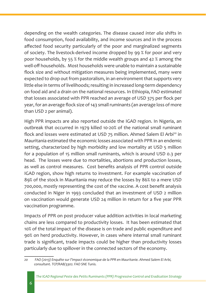depending on the wealth categories. The disease caused *inter alia* shifts in food consumption, food availability, and income sources and in the process affected food security particularly of the poor and marginalized segments of society. The livestock-derived income dropped by 99 % for poor and very poor households, by 55 % for the middle wealth groups and 42 % among the well-off households. Most households were unable to maintain a sustainable flock size and without mitigation measures being implemented, many were expected to drop out from pastoralism, in an environment that supports very little else in terms of livelihoods; resulting in increased long-term dependency on food aid and a drain on the national resources. In Ethiopia, FAO estimated that losses associated with PPR reached an average of USD 375 per flock per year, for an average flock size of 143 small ruminants (an average loss of more than USD 2 per animal).

High PPR impacts are also reported outside the IGAD region. In Nigeria, an outbreak that occurred in 1979 killed 10-20% of the national small ruminant flock and losses were estimated at USD 75 million. Ahmed Salem El Arbi<sup>20</sup> in Mauritania estimated the economic losses associated with PPR in an endemic setting, characterized by high morbidity and low mortality at USD 5 million for a population of 15 million small ruminants, which is around USD 0.3 per head. The losses were due to mortalities, abortions and production losses, as well as control measures. Cost benefits analysis of PPR control outside IGAD region, show high returns to investment. For example vaccination of 89% of the stock in Mauritania may reduce the losses by 86% to a mere USD 700,000, mostly representing the cost of the vaccine. A cost benefit analysis conducted in Niger in 1993 concluded that an investment of USD 2 million on vaccination would generate USD 24 million in return for a five year PPR vaccination programme.

Impacts of PPR on post producer value addition activities in local marketing chains are less compared to productivity losses. It has been estimated that 10% of the total impact of the disease is on trade and public expenditure and 90% on herd productivity. However, in cases where internal small ruminant trade is significant, trade impacts could be higher than productivity losses particularly due to spillover in the connected sectors of the economy.

*<sup>20</sup> FAO (2013) Enquête sur l'impact économique de la PPR en Mauritanie. Ahmed Salem El Arbi, consultant. TCP/RAB/3302. FAO SNE Tunis.*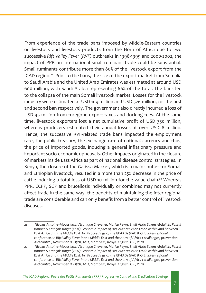From experience of the trade bans imposed by Middle-Eastern countries on livestock and livestock products from the Horn of Africa due to two successive *Rift Valley Fever (RVF)* outbreaks in 1998-1999 and 2000-2002, the impact of PPR on international small ruminant trade could be substantial. Small ruminants contribute more than 80% of the livestock export from the IGAD region.<sup>21</sup> Prior to the bans, the size of the export market from Somalia to Saudi Arabia and the United Arab Emirates was estimated at around USD 600 million, with Saudi Arabia representing 66% of the total. The bans led to the collapse of the main Somali livestock market. Losses for the livestock industry were estimated at USD 109 million and USD 326 million, for the first and second ban respectively. The government also directly incurred a loss of USD 45 million from foregone export taxes and docking fees. At the same time, livestock exporters lost a net cumulative profit of USD 330 million, whereas producers estimated their annual losses at over USD 8 million. Hence, the successive RVF-related trade bans impacted the employment rate, the public treasury, the exchange rate of national currency and thus, the price of imported goods, inducing a general inflationary pressure and important socio-economic upheavals. Other impacts originated in the closure of markets inside East Africa as part of national disease control strategies. In Kenya, the closure of the Garissa Market, which is a major outlet for Somali and Ethiopian livestock, resulted in a more than 25% decrease in the price of cattle inducing a total loss of USD 10 million for the value chain.<sup>22</sup> Whereas PPR, CCPP, SGP and brucellosis individually or combined may not currently affect trade in the same way, the benefits of maintaining the inter-regional trade are considerable and can only benefit from a better control of livestock diseases.

*The IGAD Regional Peste des Petits Ruminants (PPR) Progressive Control and Eradication Strategy*

*<sup>21</sup> Nicolas Antoine–Moussiaux, Véronique Chevalier, Marisa Peyre, Shaif Abdo Salem Abdullah, Pascal Bonnet & François Roger (2012) Economic impact of RVF outbreaks on trade within and between East Africa and the Middle East. In : Proceedings of the GF-TADs (FAO & OIE) inter-regional conference on Rift Valley Fever in the Middle East and the Horn of Africa : challenges, prevention and control, November 12 - 15th, 2012, Mombasa, Kenya. English. OIE, Paris.*

*<sup>22</sup> Nicolas Antoine–Moussiaux, Véronique Chevalier, Marisa Peyre, Shaif Abdo Salem Abdullah, Pascal Bonnet & François Roger (2012) Economic impact of RVF outbreaks on trade within and between East Africa and the Middle East. In : Proceedings of the GF-TADs (FAO & OIE) inter-regional conference on Rift Valley Fever in the Middle East and the Horn of Africa : challenges, prevention and control, November 12 - 15th, 2012, Mombasa, Kenya. English. OIE, Paris.*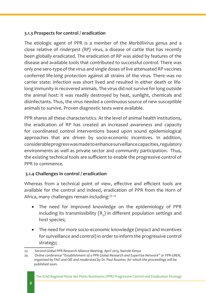#### **3.1.3 Prospects for control / eradication**

The etiologic agent of PPR is a member of the *Morbillivirus genus* and a close relative of *rinderpest (RP)* virus, a disease of cattle that has recently been globally eradicated. The eradication of RP was aided by features of the disease and available tools that contributed to successful control. There was only one sero-type of the virus and single doses of live attenuated RP vaccines conferred life-long protection against all strains of the virus. There was no carrier state: infection was short lived and resulted in either death or lifelong immunity in recovered animals. The virus did not survive for long outside the animal host: it was readily destroyed by heat, sunlight, chemicals and disinfectants. Thus, the virus needed a continuous source of new susceptible animals to survive. Proven diagnostic tests were available.

PPR shares all these characteristics. At the level of animal health institutions, the eradication of RP has created an increased awareness and capacity for coordinated control interventions based upon sound epidemiological approaches that are driven by socio-economic incentives. In addition, considerable progress was made to enhance surveillance capacities, regulatory environments as well as private sector and community participation. Thus, the existing technical tools are sufficient to enable the progressive control of PPR to commence.

# **3.1.4 Challenges in control / eradication**

Whereas from a technical point of view, effective and efficient tools are available for the control and indeed, eradication of PPR from the Horn of Africa, many challenges remain including:<sup>23</sup> 24

- The need for improved knowledge on the epidemiology of PPR including its transmissibility  $\left({\sf R}_{{\sf o}}\right)$  in different population settings and host species;
- The need for more socio-economic knowledge (impact and incentives for surveillance and control) in order to inform the progressive control strategy;

*<sup>23</sup> Second Global PPR Research Alliance Meeting, April 2013, Nairobi Kenya* 

*<sup>24</sup> Online conference "Establishment of a PPR Global Research and Expertise Network" or PPR-GREN, organised by FAO and OIE and moderated by Dr. Paul Rossiter, for which the proceedings will be published soon.*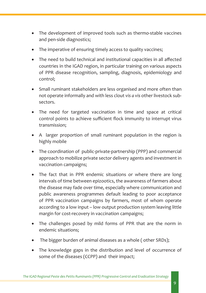- The development of improved tools such as thermo-stable vaccines and pen-side diagnostics;
- The imperative of ensuring timely access to quality vaccines;
- The need to build technical and institutional capacities in all affected countries in the IGAD region, in particular training on various aspects of PPR disease recognition, sampling, diagnosis, epidemiology and control;
- Small ruminant stakeholders are less organised and more often than not operate informally and with less clout *vis a vis* other livestock subsectors.
- The need for targeted vaccination in time and space at critical control points to achieve sufficient flock immunity to interrupt virus transmission;
- A larger proportion of small ruminant population in the region is highly mobile
- The coordination of public-private-partnership (PPP) and commercial approach to mobilize private sector delivery agents and investment in vaccination campaigns;
- The fact that in PPR endemic situations or where there are long intervals of time between epizootics, the awareness of farmers about the disease may fade over time, especially where communication and public awareness programmes default leading to poor acceptance of PPR vaccination campaigns by farmers, most of whom operate according to a low input – low output production system leaving little margin for cost-recovery in vaccination campaigns;
- The challenges posed by mild forms of PPR that are the norm in endemic situations;
- The bigger burden of animal diseases as a whole (other SRDs);
- The knowledge gaps in the distribution and level of occurrence of some of the diseases (CCPP) and their impact;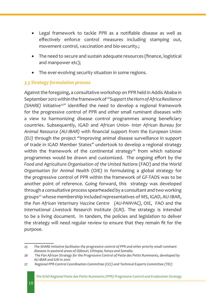- Legal framework to tackle PPR as a notifiable disease as well as effectively enforce control measures including stamping out, movement control, vaccination and bio-security.;
- The need to secure and sustain adequate resources (finance, logistical and manpower etc);
- The ever-evolving security situation in some regions.

#### *3.3 Strategy formulation process*

Against the foregoing, a consultative workshop on PPR held in Addis Ababa in September 2012 within the framework of "*Support the Horn of Africa Resilience (SHARE)* initiative<sup>25</sup>" identified the need to develop a regional framework for the progressive control of PPR and other small ruminant diseases with a view to harmonizing disease control programmes among beneficiary countries. Subsequently, IGAD and *African Union- Inter African Bureau for Animal Resource (AU-IBAR)* with financial support from the *European Union (EU)* through the project "Improving animal disease surveillance in support of trade in IGAD Member States" undertook to develop a regional strategy within the framework of the continental strategy<sup>26</sup> from which national programmes would be drawn and customized. The ongoing effort by the *Food and Agriculture Organisation of the United Nations* (FAO) and the *World Organisation for Animal Health* (OIE) in formulating a global strategy for the progressive control of PPR within the framework of GF-TADS was to be another point of reference. Going forward, this strategy was developed through a consultative process spearheaded by a consultant and two working groups<sup>27</sup> whose membership included representatives of MS, IGAD, AU-IBAR, the *Pan African Veterinary Vaccine Centre (AU-PANVAC),* OIE, FAO and the *International Livestock Research Institute (ILRI)*. The strategy is intended to be a living document. In tandem, the policies and legislation to deliver the strategy will need regular review to ensure that they remain fit for the purpose.

*<sup>25</sup> The SHARE Initiative facilitates the progressive control of PPR and other priority small ruminant diseases in pastoral areas of Djibouti, Ethiopia, Kenya and Somalia.*

*<sup>26</sup> The Pan African Strategy for the Progressive Control of Peste des Petits Ruminants, developed by AU-IBAR and ILRI in 2010*

*<sup>27</sup> Regional PPR Control Coordination Committee (CCC) and Technical Experts Committee (TEC)*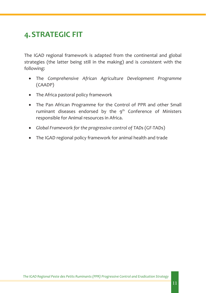# **4.STRATEGIC FIT**

The IGAD regional framework is adapted from the continental and global strategies (the latter being still in the making) and is consistent with the following:

- • The *Comprehensive African Agriculture Development Programme* (CAADP)
- The Africa pastoral policy framework
- The Pan African Programme for the Control of PPR and other Small ruminant diseases endorsed by the  $9<sup>th</sup>$  Conference of Ministers responsible for Animal resources in Africa.
- • *Global Framework for the progressive control of TADs* (GF-TADs)
- The IGAD regional policy framework for animal health and trade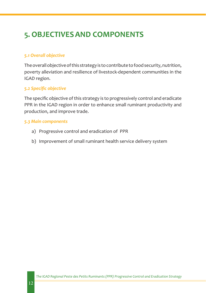# **5. OBJECTIVESAND COMPONENTS**

#### *5.1 Overall objective*

The overall objective of this strategy is to contribute to food security, nutrition, poverty alleviation and resilience of livestock-dependent communities in the IGAD region.

#### *5.2 Specific objective*

The specific objective of this strategy is to progressively control and eradicate PPR in the IGAD region in order to enhance small ruminant productivity and production, and improve trade.

#### *5.3 Main components*

- a) Progressive control and eradication of PPR
- b) Improvement of small ruminant health service delivery system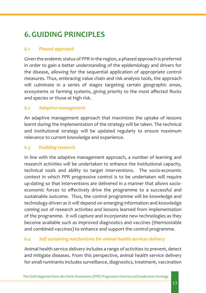# **6.GUIDING PRINCIPLES**

### *6.1 Phased approach*

Given the endemic status of PPR in the region, a phased approach is preferred in order to gain a better understanding of the epidemiology and drivers for the disease, allowing for the sequential application of appropriate control measures. Thus, embracing value chain and risk analysis tools, the approach will culminate in a series of stages targeting certain geographic areas, ecosystems or farming systems, giving priority to the most affected flocks and species or those at high risk.

#### *6.2 Adaptive management*

An adaptive management approach that maximizes the uptake of lessons learnt during the implementation of the strategy will be taken. The technical and institutional strategy will be updated regularly to ensure maximum relevance to current knowledge and experience.

#### *6.3 Enabling research*

In line with the adaptive management approach, a number of learning and research activities will be undertaken to enhance the institutional capacity, technical tools and ability to target interventions. The socio-economic context in which PPR progressive control is to be undertaken will require up-dating so that interventions are delivered in a manner that allows socioeconomic forces to effectively drive the programme to a successful and sustainable outcome. Thus, the control programme will be knowledge and technology-driven as it will depend on emerging information and knowledge coming out of research activities and lessons learned from implementation of the programme. It will capture and incorporate new technologies as they become available such as improved diagnostics and vaccines (thermostable and combined vaccines) to enhance and support the control programme.

# *6.4 Self sustaining mechanisms for animal health services delivery*

Animal health service delivery includes a range of activities to prevent, detect and mitigate diseases. From this perspective, animal health service delivery for small ruminants includes surveillance, diagnostics, treatment, vaccination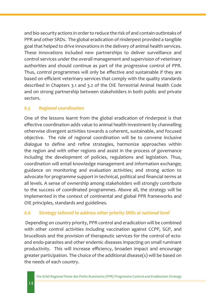and bio-security actions in order to reduce the risk of and contain outbreaks of PPR and other SRDs. The global eradication of rinderpest provided a tangible goal that helped to drive innovations in the delivery of animal health services. These innovations included new partnerships to deliver surveillance and control services under the overall management and supervision of veterinary authorities and should continue as part of the progressive control of PPR. Thus, control programmes will only be effective and sustainable if they are based on efficient veterinary services that comply with the quality standards described in Chapters 3.1 and 3.2 of the OIE Terrestrial Animal Health Code and on strong partnership between stakeholders in both public and private sectors.

# *6.5 Regional coordination*

One of the lessons learnt from the global eradication of rinderpest is that effective coordination adds value to animal health investment by channelling otherwise divergent activities towards a coherent, sustainable, and focused objective. The role of regional coordination will be to convene inclusive dialogue to define and refine strategies, harmonize approaches within the region and with other regions and assist in the process of governance including the development of policies, regulations and legislation. Thus, coordination will entail knowledge management and information exchange; guidance on monitoring and evaluation activities; and strong action to advocate for programme support in technical, political and financial terms at all levels. A sense of ownership among stakeholders will strongly contribute to the success of coordinated programmes. Above all, the strategy will be implemented in the context of continental and global PPR frameworks and OIE principles, standards and guidelines.

#### *6.6 Strategy tailored to address other priority SRDs at national level*

 Depending on country priority, PPR control and eradication will be combined with other control activities including vaccination against CCPP, SGP, and brucellosis and the provision of therapeutic services for the control of ectoand endo-parasites and other endemic diseases impacting on small ruminant productivity. This will increase efficiency, broaden impact and encourage greater participation. The choice of the additional disease(s) will be based on the needs of each country.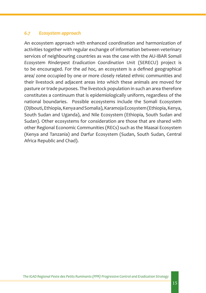#### *6.7 Ecosystem approach*

An ecosystem approach with enhanced coordination and harmonization of activities together with regular exchange of information between veterinary services of neighbouring countries as was the case with the AU-IBAR *Somali Ecosystem Rinderpest Eradication Coordination Unit* (SERECU) project is to be encouraged. For the *ad hoc,* an ecosystem is a defined geographical area/ zone occupied by one or more closely related ethnic communities and their livestock and adjacent areas into which these animals are moved for pasture or trade purposes. The livestock population in such an area therefore constitutes a continuum that is epidemiologically uniform, regardless of the national boundaries. Possible ecosystems include the Somali Ecosystem (Djibouti, Ethiopia, Kenya and Somalia), Karamoja Ecosystem (Ethiopia, Kenya, South Sudan and Uganda), and Nile Ecosystem (Ethiopia, South Sudan and Sudan). Other ecosystems for consideration are those that are shared with other Regional Economic Communities (RECs) such as the Maasai Ecosystem (Kenya and Tanzania) and Darfur Ecosystem (Sudan, South Sudan, Central Africa Republic and Chad).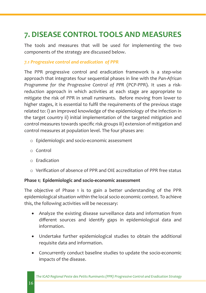# **7. DISEASE CONTROL TOOLS AND MEASURES**

The tools and measures that will be used for implementing the two components of the strategy are discussed below.

#### *7.1 Progressive control and eradication of PPR*

The PPR progressive control and eradication framework is a step-wise approach that integrates four sequential phases in line with the *Pan-African Programme for the Progressive Control of PPR* (PCP-PPR). It uses a riskreduction approach in which activities at each stage are appropriate to mitigate the risk of PPR in small ruminants. Before moving from lower to higher stages, it is essential to fulfil the requirements of the previous stage related to: i) an improved knowledge of the epidemiology of the infection in the target country ii) initial implementation of the targeted mitigation and control measures towards specific risk groups iii) extension of mitigation and control measures at population level. The four phases are:

- o Epidemiologic and socio-economic assessment
- o Control
- o Eradication
- o Verification of absence of PPR and OIE accreditation of PPR free status

#### **Phase 1: Epidemiologic and socio-economic assessment**

The objective of Phase 1 is to gain a better understanding of the PPR epidemiological situation within the local socio economic context. To achieve this, the following activities will be necessary:

- Analyze the existing disease surveillance data and information from different sources and identify gaps in epidemiological data and information.
- Undertake further epidemiological studies to obtain the additional requisite data and information.
- Concurrently conduct baseline studies to update the socio-economic impacts of the disease.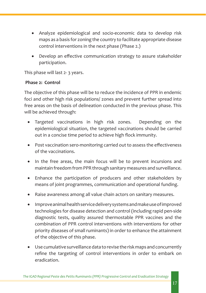- Analyze epidemiological and socio-economic data to develop risk maps as a basis for zoning the country to facilitate appropriate disease control interventions in the next phase (Phase 2.)
- Develop an effective communication strategy to assure stakeholder participation.

This phase will last 2- 3 years.

#### **Phase 2: Control**

The objective of this phase will be to reduce the incidence of PPR in endemic foci and other high risk populations/ zones and prevent further spread into free areas on the basis of delineation conducted in the previous phase. This will be achieved through:

- Targeted vaccinations in high risk zones. Depending on the epidemiological situation, the targeted vaccinations should be carried out in a concise time period to achieve high flock immunity.
- Post vaccination sero-monitoring carried out to assess the effectiveness of the vaccinations.
- In the free areas, the main focus will be to prevent incursions and maintain freedom from PPR through sanitary measures and surveillance.
- Enhance the participation of producers and other stakeholders by means of joint programmes, communication and operational funding.
- Raise awareness among all value chain actors on sanitary measures.
- • Improve animal health service delivery systems and make use of improved technologies for disease detection and control (including rapid pen-side diagnostic tests, quality assured thermostable PPR vaccines and the combination of PPR control interventions with interventions for other priority diseases of small ruminants) in order to enhance the attainment of the objective of this phase.
- • Use cumulative surveillance data to revise the risk maps and concurrently refine the targeting of control interventions in order to embark on eradication.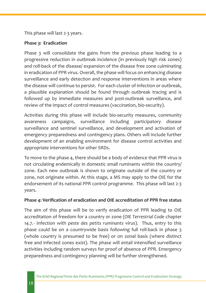This phase will last 2-3 years.

#### **Phase 3: Eradication**

Phase 3 will consolidate the gains from the previous phase leading to a progressive reduction in outbreak incidence (in previously high risk zones) and roll-back of the disease/ expansion of the disease free zone culminating in eradication of PPR virus. Overall, the phase will focus on enhancing disease surveillance and early detection and response interventions in areas where the disease will continue to persist. For each cluster of infection or outbreak, a plausible explanation should be found through outbreak tracing and is followed up by immediate measures and post-outbreak surveillance, and review of the impact of control measures (vaccination, bio-security).

Activities during this phase will include bio-security measures, community awareness campaigns, surveillance including participatory disease surveillance and sentinel surveillance, and development and activation of emergency preparedness and contingency plans. Others will include further development of an enabling environment for disease control activities and appropriate interventions for other SRDs.

To move to the phase 4, there should be a body of evidence that PPR virus is not circulating endemically in domestic small ruminants within the country/ zone. Each new outbreak is shown to originate outside of the country or zone, not originate within. At this stage, a MS may apply to the OIE for the endorsement of its national PPR control programme. This phase will last 2-3 years.

#### **Phase 4: Verification of eradication and OIE accreditation of PPR free status**

The aim of this phase will be to verify eradication of PPR leading to OIE accreditation of freedom for a country or zone (*OIE Terrestrial Code* chapter 14.7.- Infection with *peste des petits ruminants* virus). Thus, entry to this phase could be on a countrywide basis following full roll-back in phase 3 (whole country is presumed to be free) or on zonal basis (where distinct free and infected zones exist). The phase will entail intensified surveillance activities including random surveys for proof of absence of PPR. Emergency preparedness and contingency planning will be further strengthened.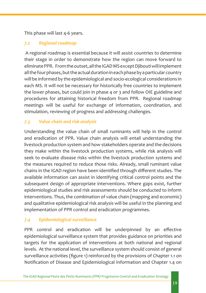#### This phase will last 4-6 years.

#### *7.2 Regional roadmap*

 A regional roadmap is essential because it will assist countries to determine their stage in order to demonstrate how the region can move forward to eliminate PPR. From the outset, all the IGAD MS except Djibouti will implement all the four phases, but the actual duration in each phase by a particular country will be informed by the epidemiological and socio-ecological considerations in each MS. It will not be necessary for historically free countries to implement the lower phases, but could join in phase 4 or 3 and follow OIE guideline and procedures for attaining historical freedom from PPR. Regional roadmap meetings will be useful for exchange of information, coordination, and stimulation, reviewing of progress and addressing challenges.

#### *7.3 Value chain and risk analysis*

Understanding the value chain of small ruminants will help in the control and eradication of PPR. Value chain analysis will entail understanding the livestock production system and how stakeholders operate and the decisions they make within the livestock production systems, while risk analysis will seek to evaluate disease risks within the livestock production systems and the measures required to reduce those risks. Already, small ruminant value chains in the IGAD region have been identified through different studies. The available information can assist in identifying critical control points and the subsequent design of appropriate interventions. Where gaps exist, further epidemiological studies and risk assessments should be conducted to inform interventions. Thus, the combination of value chain (mapping and economic) and qualitative epidemiological risk analysis will be useful in the planning and implementation of PPR control and eradication programmes.

# *7.4 Epidemiological surveillance*

PPR control and eradication will be underpinned by an effective epidemiological surveillance system that provides guidance on priorities and targets for the application of interventions at both national and regional levels. At the national level, the surveillance system should consist of general surveillance activities (figure 1) reinforced by the provisions of Chapter 1.1 on Notification of Disease and Epidemiological Information and Chapter 1.4 on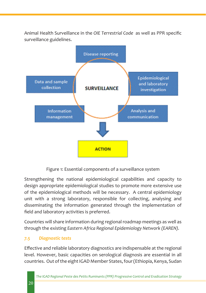Animal Health Surveillance in the *OIE Terrestrial Code* as well as PPR specific surveillance guidelines.



Figure 1: Essential components of a surveillance system

Strengthening the national epidemiological capabilities and capacity to design appropriate epidemiological studies to promote more extensive use of the epidemiological methods will be necessary. A central epidemiology unit with a strong laboratory, responsible for collecting, analysing and disseminating the information generated through the implementation of field and laboratory activities is preferred.

Countries will share information during regional roadmap meetings as well as through the existing *Eastern Africa Regional Epidemiology Network (EAREN).* 

# *7.5 Diagnostic tests*

Effective and reliable laboratory diagnostics are indispensable at the regional level. However, basic capacities on serological diagnosis are essential in all countries. Out of the eight IGAD Member States, four (Ethiopia, Kenya, Sudan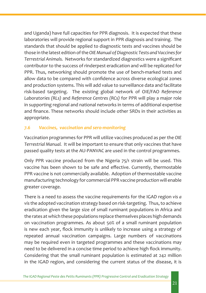and Uganda) have full capacities for PPR diagnosis. It is expected that these laboratories will provide regional support in PPR diagnosis and training. The standards that should be applied to diagnostic tests and vaccines should be those in the latest edition of the *OIE Manual of Diagnostic Tests and Vaccines for Terrestrial Animals.* Networks for standardized diagnostics were a significant contributor to the success of rinderpest eradication and will be replicated for PPR. Thus, networking should promote the use of bench-marked tests and allow data to be compared with confidence across diverse ecological zones and production systems. This will add value to surveillance data and facilitate risk-based targeting. The existing global network of OIE/FAO *Reference Laboratories (RLs)* and *Reference Centres (RCs)* for PPR will play a major role in supporting regional and national networks in terms of additional expertise and finance. These networks should include other SRDs in their activities as appropriate.

#### *7.6 Vaccines, vaccination and sero-monitoring*

Vaccination programmes for PPR will utilize vaccines produced as per the *OIE Terrestrial Manual.* It will be important to ensure that only vaccines that have passed quality tests at the AU-PANVAC are used in the control programmes.

Only PPR vaccine produced from the Nigeria 75/1 strain will be used. This vaccine has been shown to be safe and effective. Currently, thermostable PPR vaccine is not commercially available. Adoption of thermostable vaccine manufacturing technology for commercial PPR vaccine production will enable greater coverage.

There is a need to assess the vaccine requirements for the IGAD region *vis a vis* the adopted vaccination strategy based on risk-targeting. Thus, to achieve eradication given the large size of small ruminant populations in Africa and the rates at which these populations replace themselves places high demands on vaccination programmes. As about 50% of a small ruminant population is new each year, flock immunity is unlikely to increase using a strategy of repeated annual vaccination campaigns. Large numbers of vaccinations may be required even in targeted programmes and these vaccinations may need to be delivered in a concise time period to achieve high flock immunity. Considering that the small ruminant population is estimated at 242 million in the IGAD region, and considering the current status of the disease, it is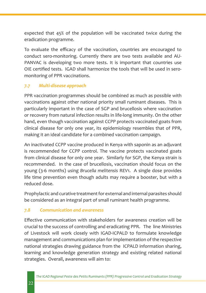expected that 45% of the population will be vaccinated twice during the eradication programme.

To evaluate the efficacy of the vaccination, countries are encouraged to conduct sero-monitoring. Currently there are two tests available and AU-PANVAC is developing two more tests. It is important that countries use OIE certified tests. IGAD shall harmonize the tools that will be used in seromonitoring of PPR vaccinations.

# *7.7 Multi-disease approach*

PPR vaccination programmes should be combined as much as possible with vaccinations against other national priority small ruminant diseases. This is particularly important in the case of SGP and brucellosis where vaccination or recovery from natural infection results in life-long immunity. On the other hand, even though vaccination against CCPP protects vaccinated goats from clinical disease for only one year, its epidemiology resembles that of PPR, making it an ideal candidate for a combined vaccination campaign.

An inactivated CCPP vaccine produced in Kenya with saponin as an adjuvant is recommended for CCPP control. The vaccine protects vaccinated goats from clinical disease for only one year. Similarly for SGP, the Kenya strain is recommended. In the case of brucellosis, vaccination should focus on the young (3-6 months) using *Brucella melitensis* REV1. A single dose provides life time prevention even though adults may require a booster, but with a reduced dose.

Prophylactic and curative treatment for external and internal parasites should be considered as an integral part of small ruminant health programme.

# *7.8 Communication and awareness*

Effective communication with stakeholders for awareness creation will be crucial to the success of controlling and eradicating PPR. The line Ministries of Livestock will work closely with IGAD-ICPALD to formulate knowledge management and communications plan for implementation of the respective national strategies drawing guidance from the ICPALD information sharing, learning and knowledge generation strategy and existing related national strategies. Overall, awareness will aim to: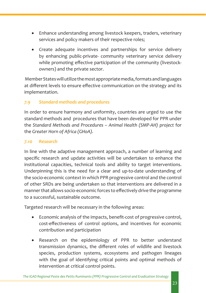- Enhance understanding among livestock keepers, traders, veterinary services and policy makers of their respective roles;
- Create adequate incentives and partnerships for service delivery by enhancing public-private- community veterinary service delivery while promoting effective participation of the community (livestockowners) and the private sector.

 Member States will utilize the most appropriate media, formats and languages at different levels to ensure effective communication on the strategy and its implementation.

# *7.9 Standard methods and procedures*

In order to ensure harmony and uniformity, countries are urged to use the standard methods and procedures that have been developed for PPR under the *Standard Methods and Procedures – Animal Health (SMP-AH) project* for the *Greater Horn of Africa (GHoA).* 

#### *7.10 Research*

In line with the adaptive management approach, a number of learning and specific research and update activities will be undertaken to enhance the institutional capacities, technical tools and ability to target interventions. Underpinning this is the need for a clear and up-to-date understanding of the socio-economic context in which PPR progressive control and the control of other SRDs are being undertaken so that interventions are delivered in a manner that allows socio-economic forces to effectively drive the programme to a successful, sustainable outcome.

Targeted research will be necessary in the following areas:

- Economic analysis of the impacts, benefit-cost of progressive control, cost-effectiveness of control options, and incentives for economic contribution and participation
- Research on the epidemiology of PPR to better understand transmission dynamics, the different roles of wildlife and livestock species, production systems, ecosystems and pathogen lineages with the goal of identifying critical points and optimal methods of intervention at critical control points.

*The IGAD Regional Peste des Petits Ruminants (PPR) Progressive Control and Eradication Strategy*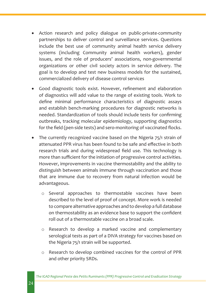- Action research and policy dialogue on public-private-community partnerships to deliver control and surveillance services. Questions include the best use of community animal health service delivery systems (including Community animal health workers), gender issues, and the role of producers' associations, non-governmental organizations or other civil society actors in service delivery. The goal is to develop and test new business models for the sustained, commercialized delivery of disease control services
- Good diagnostic tools exist. However, refinement and elaboration of diagnostics will add value to the range of existing tools. Work to define minimal performance characteristics of diagnostic assays and establish bench-marking procedures for diagnostic networks is needed. Standardization of tools should include tests for confirming outbreaks, tracking molecular epidemiology, supporting diagnostics for the field (pen-side tests) and sero-monitoring of vaccinated flocks.
- The currently recognized vaccine based on the Nigeria 75/1 strain of attenuated PPR virus has been found to be safe and effective in both research trials and during widespread field use. This technology is more than sufficient for the initiation of progressive control activities. However, improvements in vaccine thermostability and the ability to distinguish between animals immune through vaccination and those that are immune due to recovery from natural infection would be advantageous.
	- o Several approaches to thermostable vaccines have been described to the level of proof of concept. More work is needed to compare alternative approaches and to develop a full database on thermostability as an evidence base to support the confident roll out of a thermostable vaccine on a broad scale.
	- o Research to develop a marked vaccine and complementary serological tests as part of a DIVA strategy for vaccines based on the Nigeria 75/1 strain will be supported.
	- o Research to develop combined vaccines for the control of PPR and other priority SRDs.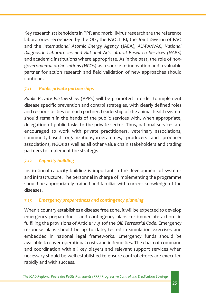Key research stakeholders in PPR and morbillivirus research are the reference laboratories recognized by the OIE, the FAO, ILRI, the Joint Division of FAO and the *International Atomic Energy Agency* (IAEA), *AU-PANVAC, National Diagnostic Laboratories and National Agricultural Research Services (NARS)*  and academic institutions where appropriate. As in the past, the role of *nongovernmental organizations (NGOs)* as a source of innovation and a valuable partner for action research and field validation of new approaches should continue.

#### *7.11 Public private partnerships*

*Public Private Partnerships* (PPPs) will be promoted in order to implement disease specific prevention and control strategies, with clearly defined roles and responsibilities for each partner. Leadership of the animal health system should remain in the hands of the public services with, when appropriate, delegation of public tasks to the private sector. Thus, national services are encouraged to work with private practitioners, veterinary associations, community-based organizations/programmes, producers and producer associations, NGOs as well as all other value chain stakeholders and trading partners to implement the strategy.

#### *7.12 Capacity building*

Institutional capacity building is important in the development of systems and infrastructure. The personnel in charge of implementing the programme should be appropriately trained and familiar with current knowledge of the diseases.

#### *7.13 Emergency preparedness and contingency planning*

When a country establishes a disease free zone, it will be expected to develop emergency preparedness and contingency plans for immediate action in fulfilling the provisions of Article 1.1.3.1of the *OIE Terrestrial Code*. Emergency response plans should be up to date, tested in simulation exercises and embedded in national legal frameworks. Emergency funds should be available to cover operational costs and indemnities. The chain of command and coordination with all key players and relevant support services when necessary should be well established to ensure control efforts are executed rapidly and with success.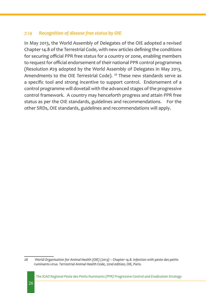#### *7.14 Recognition of disease free status by OIE*

In May 2013, the World Assembly of Delegates of the OIE adopted a revised Chapter 14.8 of the Terrestrial Code, with new articles defining the conditions for securing official PPR free status for a country or zone, enabling members to request for official endorsement of their national PPR control programmes (Resolution #29 adopted by the World Assembly of Delegates in May 2013, Amendments to the OIE Terrestrial Code). <sup>28</sup> These new standards serve as a specific tool and strong incentive to support control. Endorsement of a control programme will dovetail with the advanced stages of the progressive control framework. A country may henceforth progress and attain PPR free status as per the OIE standards, guidelines and recommendations. For the other SRDs, OIE standards, guidelines and recommendations will apply.

*<sup>28</sup> World Organisation for Animal Health (OIE) (2013) – Chapter 14.8. Infection with peste des petits ruminants virus. Terrestrial Animal Health Code, 22nd edition, OIE, Paris.*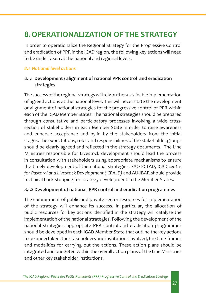# **8.OPERATIONALIZATION OF THE STRATEGY**

In order to operationalize the Regional Strategy for the Progressive Control and eradication of PPR in the IGAD region, the following key actions will need to be undertaken at the national and regional levels:

#### *8.1 National level actions*

# **8.1.1 Development / alignment of national PPR control and eradication strategies**

The success of the regional strategy will rely on the sustainable implementation of agreed actions at the national level. This will necessitate the development or alignment of national strategies for the progressive control of PPR within each of the IGAD Member States. The national strategies should be prepared through consultative and participatory processes involving a wide crosssection of stakeholders in each Member State in order to raise awareness and enhance acceptance and by-in by the stakeholders from the initial stages. The expectations, roles and responsibilities of the stakeholder groups should be clearly agreed and reflected in the strategy documents. The Line Ministries responsible for Livestock development should lead the process in consultation with stakeholders using appropriate mechanisms to ensure the timely development of the national strategies. FAO-ECTAD, *IGAD centre for Pastoral and Livestock Development (ICPALD)* and AU-IBAR should provide technical back-stopping for strategy development in the Member States.

#### **8.1.2 Development of national PPR control and eradication programmes**

The commitment of public and private sector resources for implementation of the strategy will enhance its success. In particular, the allocation of public resources for key actions identified in the strategy will catalyse the implementation of the national strategies. Following the development of the national strategies, appropriate PPR control and eradication programmes should be developed in each IGAD Member State that outline the key actions to be undertaken, the stakeholders and institutions involved, the time-frames and modalities for carrying out the actions. These action plans should be integrated and budgeted within the overall action plans of the Line Ministries and other key stakeholder institutions.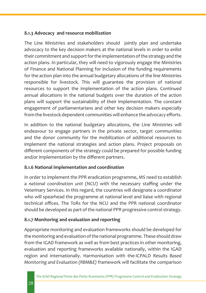#### **8.1.3 Advocacy and resource mobilization**

The Line Ministries and stakeholders should jointly plan and undertake advocacy to the key decision makers at the national levels in order to enlist their commitment and support for the implementation of the strategy and the action plans. In particular, they will need to vigorously engage the Ministries of Finance and National Planning for inclusion of the funding requirements for the action plan into the annual budgetary allocations of the line Ministries responsible for livestock. This will guarantee the provision of national resources to support the implementation of the action plans. Continued annual allocations in the national budgets over the duration of the action plans will support the sustainability of their implementation. The constant engagement of parliamentarians and other key decision makers especially from the livestock dependent communities will enhance the advocacy efforts.

In addition to the national budgetary allocations, the Line Ministries will endeavour to engage partners in the private sector, target communities and the donor community for the mobilization of additional resources to implement the national strategies and action plans. Project proposals on different components of the strategy could be prepared for possible funding and/or implementation by the different partners.

# **8.1.6 National implementation and coordination**

In order to implement the PPR eradication programme, MS need to establish a *national coordination unit* (NCU) with the necessary staffing under the Veterinary Services. In this regard, the countries will designate a coordinator who will spearhead the programme at national level and liaise with regional technical offices. The ToRs for the NCU and the PPR national coordinator should be developed as part of the national PPR progressive control strategy.

# **8.1.7 Monitoring and evaluation and reporting**

Appropriate monitoring and evaluation frameworks should be developed for the monitoring and evaluation of the national programme. These should draw from the IGAD framework as well as from best practices in other monitoring, evaluation and reporting frameworks available nationally, within the IGAD region and internationally. Harmonisation with the-ICPALD *Results Based Monitoring and Evaluation (RBM&E)* framework will facilitate the comparison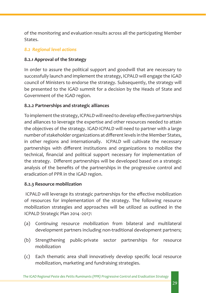of the monitoring and evaluation results across all the participating Member States.

#### *8.2 Regional level actions*

#### **8.2.1 Approval of the Strategy**

In order to assure the political support and goodwill that are necessary to successfully launch and implement the strategy, ICPALD will engage the IGAD council of Ministers to endorse the strategy. Subsequently, the strategy will be presented to the IGAD summit for a decision by the Heads of State and Government of the IGAD region.

#### **8.2.2 Partnerships and strategic alliances**

To implement the strategy, ICPALD will need to develop effective partnerships and alliances to leverage the expertise and other resources needed to attain the objectives of the strategy. IGAD-ICPALD will need to partner with a large number of stakeholder organizations at different levels in the Member States, in other regions and internationally. ICPALD will cultivate the necessary partnerships with different institutions and organizations to mobilize the technical, financial and political support necessary for implementation of the strategy. Different partnerships will be developed based on a strategic analysis of the benefits of the partnerships in the progressive control and eradication of PPR in the IGAD region.

#### **8.2.3 Resource mobilization**

 ICPALD will leverage its strategic partnerships for the effective mobilization of resources for implementation of the strategy. The following resource mobilization strategies and approaches will be utilized as outlined in the ICPALD Strategic Plan 2014 -2017:

- (a) Continuing resource mobilization from bilateral and multilateral development partners including non-traditional development partners;
- (b) Strengthening public-private sector partnerships for resource mobilization
- (c) Each thematic area shall innovatively develop specific local resource mobilization, marketing and fundraising strategies.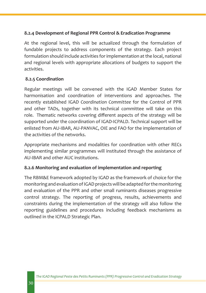#### **8.2.4 Development of Regional PPR Control & Eradication Programme**

At the regional level, this will be actualized through the formulation of fundable projects to address components of the strategy. Each project formulation should include activities for implementation at the local, national and regional levels with appropriate allocations of budgets to support the activities.

#### **8.2.5 Coordination**

Regular meetings will be convened with the IGAD Member States for harmonisation and coordination of interventions and approaches. The recently established IGAD *Coordination Committee* for the Control of PPR and other TADs, together with its technical committee will take on this role. Thematic networks covering different aspects of the strategy will be supported under the coordination of IGAD-ICPALD. Technical support will be enlisted from AU-IBAR, AU-PANVAC, OIE and FAO for the implementation of the activities of the networks.

Appropriate mechanisms and modalities for coordination with other RECs implementing similar programmes will instituted through the assistance of AU-IBAR and other AUC institutions.

#### **8.2.6 Monitoring and evaluation of implementation and reporting**

The RBM&E framework adopted by IGAD as the framework of choice for the monitoring and evaluation of IGAD projects will be adapted for the monitoring and evaluation of the PPR and other small ruminants diseases progressive control strategy. The reporting of progress, results, achievements and constraints during the implementation of the strategy will also follow the reporting guidelines and procedures including feedback mechanisms as outlined in the ICPALD Strategic Plan.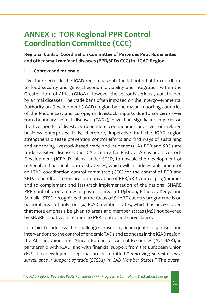# **ANNEX 1: TOR Regional PPR Control Coordination Committee (CCC)**

**Regional Control Coordination Committee of Peste des Petit Ruminantes and other small ruminant diseases (PPR/SRDs-CCC) in IGAD Region**

#### **I. Context and rationale**

Livestock sector in the IGAD region has substantial potential to contribute to food security and general economic viability and integration within the Greater Horn of Africa (GHoA). However the sector is seriously constrained by animal diseases. The trade bans often imposed on the Intergovernmental Authority on Development (IGAD) region by the major importing countries of the Middle East and Europe, on livestock imports due to concerns over trans-boundary animal diseases (TADs), have had significant impacts on the livelihoods of livestock dependent communities and livestock-related business enterprises. It is, therefore, imperative that the IGAD region strengthens disease prevention control efforts and find ways of sustaining and enhancing livestock-based trade and its benefits. As PPR and SRDs are trade-sensitive diseases, the IGAD Centre for Pastoral Areas and Livestock Development (ICPALD) plans, under STSD, to upscale the development of regional and national control strategies, which will include establishment of an IGAD coordination control committee (CCC) for the control of PPR and SRD, in an effort to ensure harmonization of PPR/SRD control programmes and to complement and fast-track implementation of the national SHARE PPR control programmes in pastoral areas of Djibouti, Ethiopia, Kenya and Somalia. STSD recognizes that the focus of SHARE country programme is on pastoral areas of only four (4) IGAD member states, which has necessitated that more emphasis be given to areas and member states (MS) not covered by SHARE initiative, in relation to PPR control and surveillance.

In a bid to address the challenges posed by inadequate responses and interventions to the control of endemic TADs and zoonoses in the IGAD region, the African Union Inter-African Bureau for Animal Resources (AU-IBAR), in partnership with IGAD, and with financial support from the European Union (EU), has developed a regional project entitled "*Improving animal disease surveillance in support of trade (STSDs) in IGAD Member States."* The overall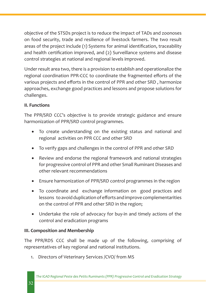objective of the STSDs project is to reduce the impact of TADs and zoonoses on food security, trade and resilience of livestock farmers. The two result areas of the project include (1) Systems for animal identification, traceability and health certification improved, and (2) Surveillance systems and disease control strategies at national and regional levels improved.

Under result area two, there is a provision to establish and operationalize the regional coordination PPR-CCC to coordinate the fragmented efforts of the various projects and efforts in the control of PPR and other SRD , harmonize approaches, exchange good practices and lessons and propose solutions for challenges.

# **II. Functions**

The PPR/SRD CCC's objective is to provide strategic guidance and ensure harmonization of PPR/SRD control programmes.

- To create understanding on the existing status and national and regional activities on PPR CCC and other SRD
- To verify gaps and challenges in the control of PPR and other SRD
- Review and endorse the regional framework and national strategies for progressive control of PPR and other Small Ruminant Diseases and other relevant recommendations
- Ensure harmonization of PPR/SRD control programmes in the region
- To coordinate and exchange information on good practices and lessons to avoid duplication of efforts and improve complementarities on the control of PPR and other SRD in the region;
- Undertake the role of advocacy for buy-in and timely actions of the control and eradication programs

# **III. Composition and Membership**

The PPR/RDS CCC shall be made up of the following, comprising of representatives of key regional and national institutions.

1. Directors of Veterinary Services /CVO/ from MS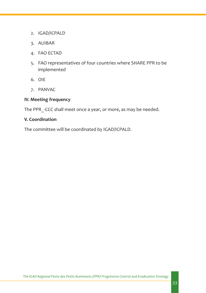- 2. IGAD/ICPALD
- 3. AUIBAR
- 4. FAO ECTAD
- 5. FAO representatives of four countries where SHARE PPR to be implemented
- 6. OIE
- 7. PANVAC

#### **IV. Meeting frequency**

The PPR\_-CCC shall meet once a year, or more, as may be needed.

#### **V. Coordination**

The committee will be coordinated by IGAD/ICPALD.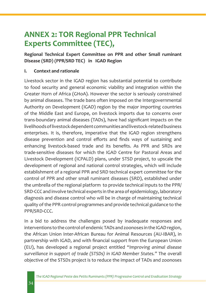# **ANNEX 2: TOR Regional PPR Technical Experts Committee (TEC),**

# **Regional Technical Expert Committee on PPR and other Small ruminant Disease (SRD) (PPR/SRD TEC) in IGAD Region**

### **I. Context and rationale**

Livestock sector in the IGAD region has substantial potential to contribute to food security and general economic viability and integration within the Greater Horn of Africa (GHoA). However the sector is seriously constrained by animal diseases. The trade bans often imposed on the Intergovernmental Authority on Development (IGAD) region by the major importing countries of the Middle East and Europe, on livestock imports due to concerns over trans-boundary animal diseases (TADs), have had significant impacts on the livelihoods of livestock dependent communities and livestock-related business enterprises. It is, therefore, imperative that the IGAD region strengthens disease prevention and control efforts and finds ways of sustaining and enhancing livestock-based trade and its benefits. As PPR and SRDs are trade-sensitive diseases for which the IGAD Centre for Pastoral Areas and Livestock Development (ICPALD) plans, under STSD project, to upscale the development of regional and national control strategies, which will include establishment of a regional PPR and SRD technical expert committee for the control of PPR and other small ruminant diseases (SRD), established under the umbrella of the regional platform to provide technical inputs to the PPR/ SRD-CCC and involve technical experts in the area of epidemiology, laboratory diagnosis and disease control who will be in charge of maintaining technical quality of the PPR control programmes and provide technical guidance to the PPR/SRD-CCC.

In a bid to address the challenges posed by inadequate responses and interventions to the control of endemic TADs and zoonoses in the IGAD region, the African Union Inter-African Bureau for Animal Resources (AU-IBAR), in partnership with IGAD, and with financial support from the European Union (EU), has developed a regional project entitled "*Improving animal disease surveillance in support of trade (STSDs) in IGAD Member States."* The overall objective of the STSDs project is to reduce the impact of TADs and zoonoses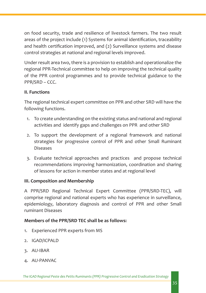on food security, trade and resilience of livestock farmers. The two result areas of the project include (1) Systems for animal identification, traceability and health certification improved, and (2) Surveillance systems and disease control strategies at national and regional levels improved.

Under result area two, there is a provision to establish and operationalize the regional PPR-Technical committee to help on improving the technical quality of the PPR control programmes and to provide technical guidance to the PPR/SRD – CCC.

#### **II. Functions**

The regional technical expert committee on PPR and other SRD will have the following functions.

- 1. To create understanding on the existing status and national and regional activities and identify gaps and challenges on PPR and other SRD
- 2. To support the development of a regional framework and national strategies for progressive control of PPR and other Small Ruminant Diseases
- 3. Evaluate technical approaches and practices and propose technical recommendations improving harmonization, coordination and sharing of lessons for action in member states and at regional level

#### **III. Composition and Membership**

A PPR/SRD Regional Technical Expert Committee (PPR/SRD-TEC), will comprise regional and national experts who has experience in surveillance, epidemiology, laboratory diagnosis and control of PPR and other Small ruminant Diseases

#### **Members of the PPR/SRD TEC shall be as follows:**

- 1. Experienced PPR experts from MS
- 2. IGAD/ICPALD
- 3. AU-IBAR
- 4. AU-PANVAC